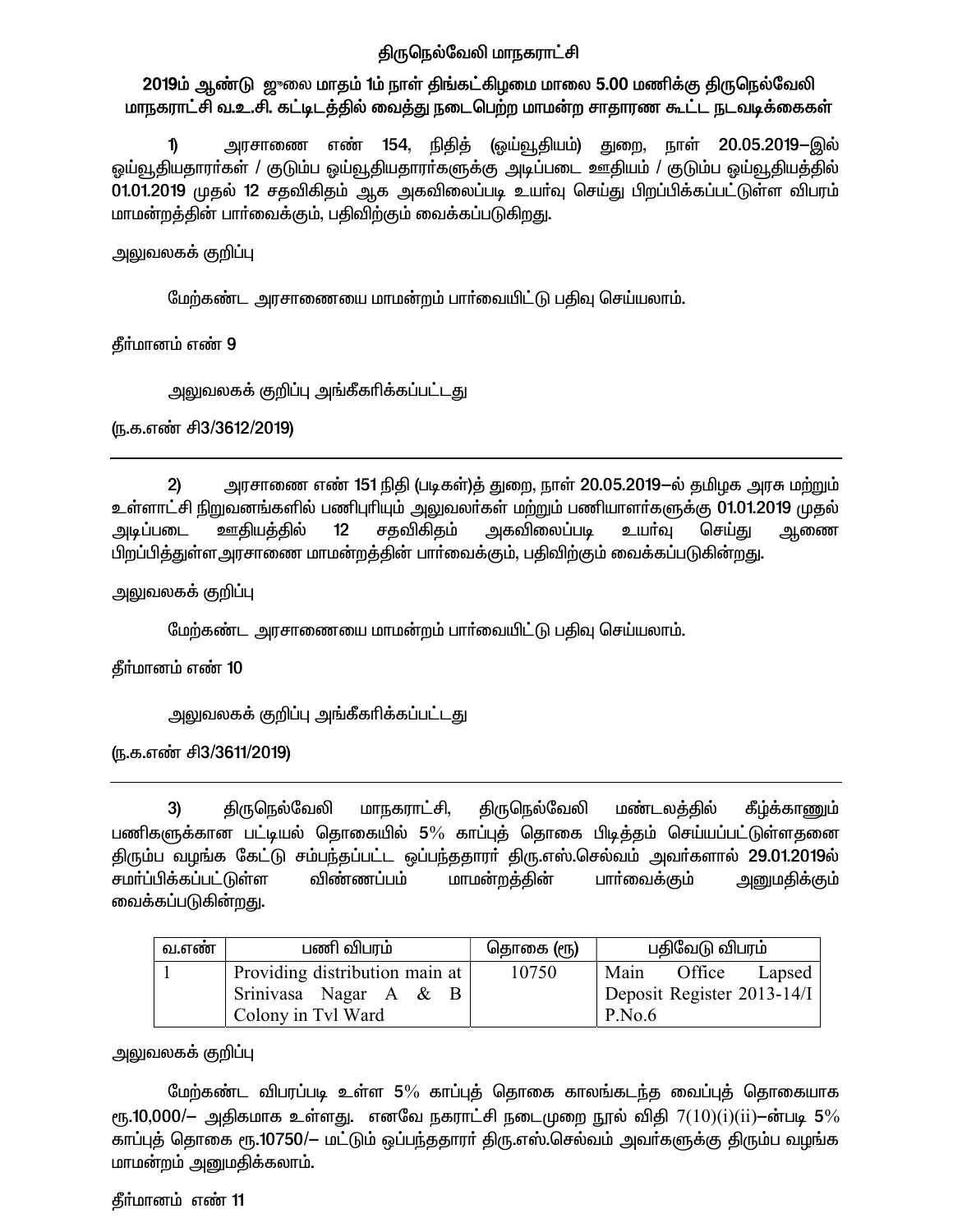## திருநெல்வேலி மாநகராட்சி

## 2019ம் ஆண்டு ஜுலை மாதம் 1ம் நாள் திங்கட்கிழமை மாலை 5.00 மணிக்கு திருநெல்வேலி மாநகராட்சி வ.உ.சி. கட்டிடத்தில் வைத்து நடைபெற்ற மாமன்ற சாதாரண கூட்ட நடவடிக்கைகள்

அரசாணை எண் 154, நிதித் (ஓய்வூதியம்) துறை, நாள் 20.05.2019—இல்  $\mathbf{D}$ ஓய்வூதியதாரா்கள் / குடும்ப ஓய்வூதியதாரா்களுக்கு அடிப்படை ஊதியம் / குடும்ப ஓய்வூதியத்தில் 01.01.2019 முதல் 12 சதவிகிதம் ஆக அகவிலைப்படி உயாவு செய்து பிறப்பிக்கப்பட்டுள்ள விபரம் மாமன்றத்தின் பார்வைக்கும், பதிவிற்கும் வைக்கப்படுகிறது.

அலுவலகக் குறிப்பு

மேற்கண்ட அரசாணையை மாமன்றம் பாா்வையிட்டு பதிவு செய்யலாம்.

தீர்மானம் எண் 9

<u>அலுவலகக் குறிப்பு அங்கீகரிக்கப்பட்டது</u>

ரு.க.எண் சி3/3612/2019)

அரசாணை எண் 151 நிதி (படிகள்)த் துறை, நாள் 20.05.2019—ல் தமிழக அரசு மற்றும்  $2)$ உள்ளாட்சி நிறுவனங்களில் பணிபுரியும் அலுவலர்கள் மற்றும் பணியாளர்களுக்கு 01.01.2019 முதல் அடிப்படை ஊதியத்தில் சதவிகிதம் அகவிலைப்படி உயர்வு  $12$ செய்து ஆணை பிறப்பித்துள்ள அரசாணை மாமன்றத்தின் பார்வைக்கும், பதிவிற்கும் வைக்கப்படுகின்றது.

அலுவலகக் குறிப்பு

மேற்கண்ட அரசாணையை மாமன்றம் பார்வையிட்டு பதிவு செய்யலாம்.

தீர்மானம் எண் 10

```
அலுவலகக் குறிப்பு அங்கீகரிக்கப்பட்டது
```
ரு.க.எண் சி3/3611/2019)

மண்டலத்தில் திருநெல்வேலி மாநகராட்சி, திருநெல்வேலி கீழ்க்காணும் 3) பணிகளுக்கான பட்டியல் தொகையில் 5% காப்புத் தொகை பிடித்தம் செய்யப்பட்டுள்ளதனை திரும்ப வழங்க கேட்டு சம்பந்தப்பட்ட ஒப்பந்ததாரா் திரு.எஸ்.செல்வம் அவா்களால் 29.01.2019ல் விண்ணப்பம் சமா்ப்பிக்கப்பட்டுள்ள மாமன்றத்தின் பார்வைக்கும் அனுமதிக்கும் வைக்கப்படுகின்றது.

| வ.எண் | பணி விபரம்                     | தொகை (ரூ) | பகிவேடு விபரம்                      |
|-------|--------------------------------|-----------|-------------------------------------|
|       | Providing distribution main at | 10750     | Office<br>Main<br>Lapsed            |
|       | Srinivasa Nagar A & B          |           | Deposit Register 2013-14/I          |
|       | Colony in Tvl Ward             |           | $\mathsf{P}.\mathsf{No}.\mathsf{6}$ |

அலுவலகக் குறிப்பு

மேற்கண்ட விபரப்படி உள்ள 5% காப்புத் தொகை காலங்கடந்த வைப்புத் தொகையாக ரு.10,000/— அதிகமாக உள்ளது. எனவே நகராட்சி நடைமுறை நூல் விதி  $7(10)(i)(ii)$ —ன்படி 5% காப்புத் தொகை ரூ.10750/— மட்டும் ஒப்பந்ததாரா் திரு.எஸ்.செல்வம் அவா்களுக்கு திரும்ப வழங்க மாமன்றம் அனுமதிக்கலாம்.

தீர்மானம் எண் 11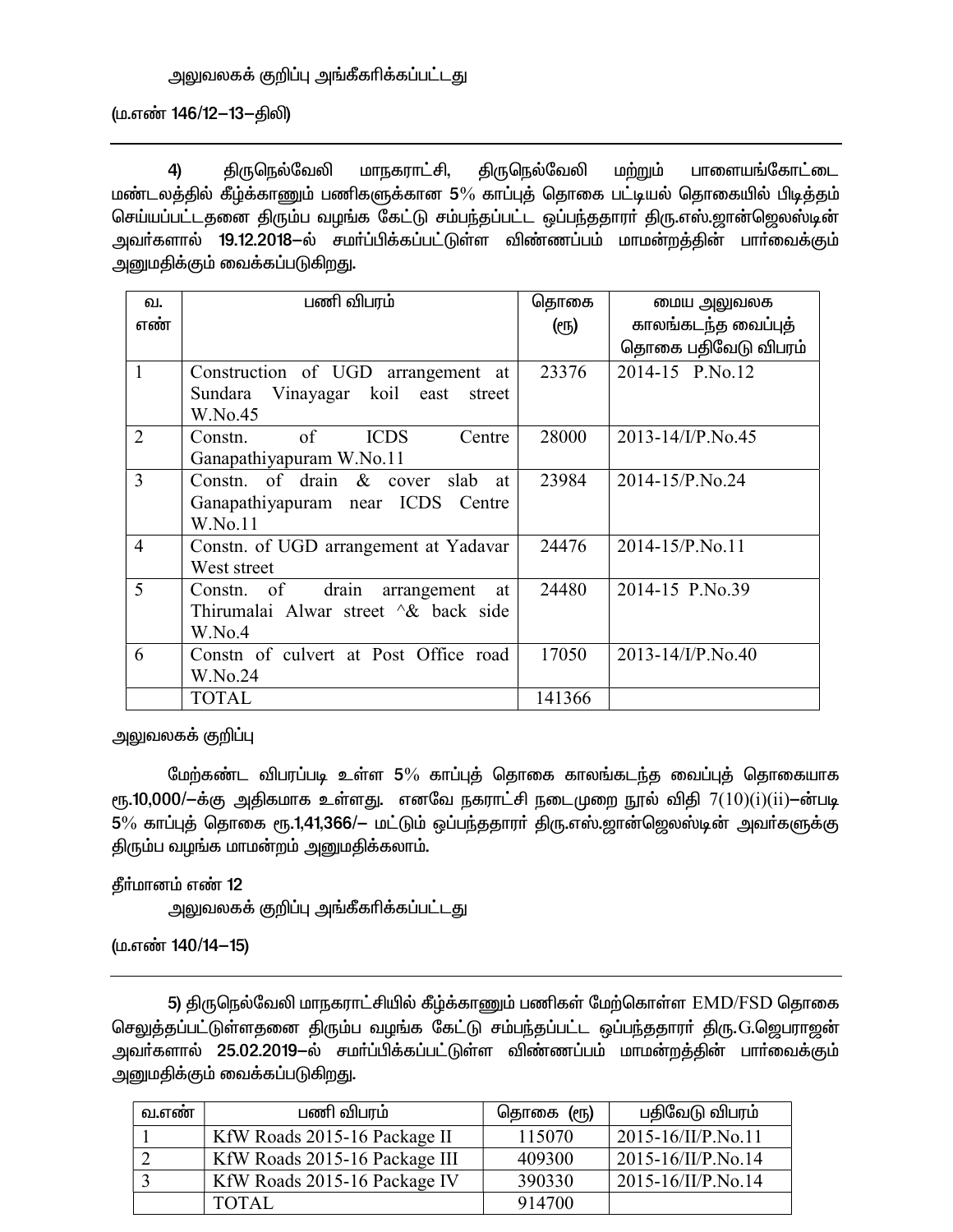(ம.எண் 146/12-13-திலி)

4) ÂUbešntè khefuh£Á, ÂUbešntè k‰W« ghisa§nfh£il மண்டலத்தில் கீழ்க்காணும் பணிகளுக்கான 5% காப்புத் தொகை பட்டியல் தொகையில் பிடித்தம் செய்யப்பட்டதனை திரும்ப வழங்க கேட்டு சம்பந்தப்பட்ட ஒப்பந்ததாரா் திரு.எஸ்.ஜான்ஜெலஸ்டின் அவா்களால் 19.12.2018—ல் சமா்ப்பிக்கப்பட்டுள்ள விண்ணப்பம் மாமன்றத்தின் பாா்வைக்கும் அனுமதிக்கும் வைக்கப்படுகி<u>றத</u>ு.

| வ.             | பணி விபரம்                               | தொகை   | மைய அலுவலக             |
|----------------|------------------------------------------|--------|------------------------|
| எண்            |                                          | ளு)    | காலங்கடந்த வைப்புத்    |
|                |                                          |        | தொகை பதிவேடு விபரம்    |
| $\mathbf{1}$   | Construction of UGD arrangement at       | 23376  | 2014-15 P.No.12        |
|                | Sundara Vinayagar koil east street       |        |                        |
|                | W.No.45                                  |        |                        |
| 2              | of<br><b>ICDS</b><br>Constn.<br>Centre   | 28000  | 2013-14/I/P.No.45      |
|                | Ganapathiyapuram W.No.11                 |        |                        |
| 3              | Constn. of drain & cover slab at         | 23984  | 2014-15/P.No.24        |
|                | Ganapathiyapuram near ICDS Centre        |        |                        |
|                | W.No.11                                  |        |                        |
| $\overline{4}$ | Constn. of UGD arrangement at Yadavar    | 24476  | 2014-15/P.No.11        |
|                | West street                              |        |                        |
| 5              | Constn. of<br>drain<br>arrangement<br>at | 24480  | 2014-15 P.No.39        |
|                | Thirumalai Alwar street $\&$ back side   |        |                        |
|                | W.No.4                                   |        |                        |
| 6              | Constn of culvert at Post Office road    | 17050  | $2013 - 14$ /I/P.No.40 |
|                | W.No.24                                  |        |                        |
|                | <b>TOTAL</b>                             | 141366 |                        |

அலுவலகக் குறிப்பு

மேற்கண்ட விபரப்படி உள்ள 5% காப்புத் தொகை காலங்கடந்த வைப்புத் தொகையாக  $\epsilon$ ரு.10,000/ $-$ க்கு அதிகமாக உள்ளது. எனவே நகராட்சி நடைமுறை நூல் விதி  $7(10)(i)$ ( $ii$ ) $-$ ன்படி  $5\%$  காப்புத் தொகை ரூ.1,41,366/— மட்டும் ஒப்பந்ததாரா் திரு.எஸ்.ஜான்ஜெலஸ்டின் அவா்களுக்கு திரும்ப வழங்க மாமன்றம் அனுமதிக்கலாம்.

தீர்மானம் எண் 12

அலுவலகக் குறிப்பு அங்கீகரிக்கப்பட்டது

(ம.எண் 140/14-15)

5) திருநெல்வேலி மாநகராட்சியில் கீழ்க்காணும் பணிகள் மேற்கொள்ள EMD/FSD தொகை செலுத்தப்பட்டுள்ளதனை திரும்ப வழங்க கேட்டு சம்பந்தப்பட்ட ஒப்பந்ததாரா் திரு.G.ஜெபராஜன் அவா்களால் 25.02.2019-ல் சமா்ப்பிக்கப்பட்டுள்ள விண்ணப்பம் மாமன்றத்தின் பாா்வைக்கும் அனுமதிக்கும் வைக்கப்படுகி<u>றத</u>ு.

| வ.எண் | பணி விபரம்                    | தொகை (ரூ) | பதிவேடு விபரம்            |
|-------|-------------------------------|-----------|---------------------------|
|       | KfW Roads 2015-16 Package II  | 115070    | $2015 - 16/II/P.No.11$    |
|       | KfW Roads 2015-16 Package III | 409300    | $2015 - 16/II/P$ . No. 14 |
|       | KfW Roads 2015-16 Package IV  | 390330    | 2015-16/II/P.No.14        |
|       | <b>TOTAL</b>                  | 914700    |                           |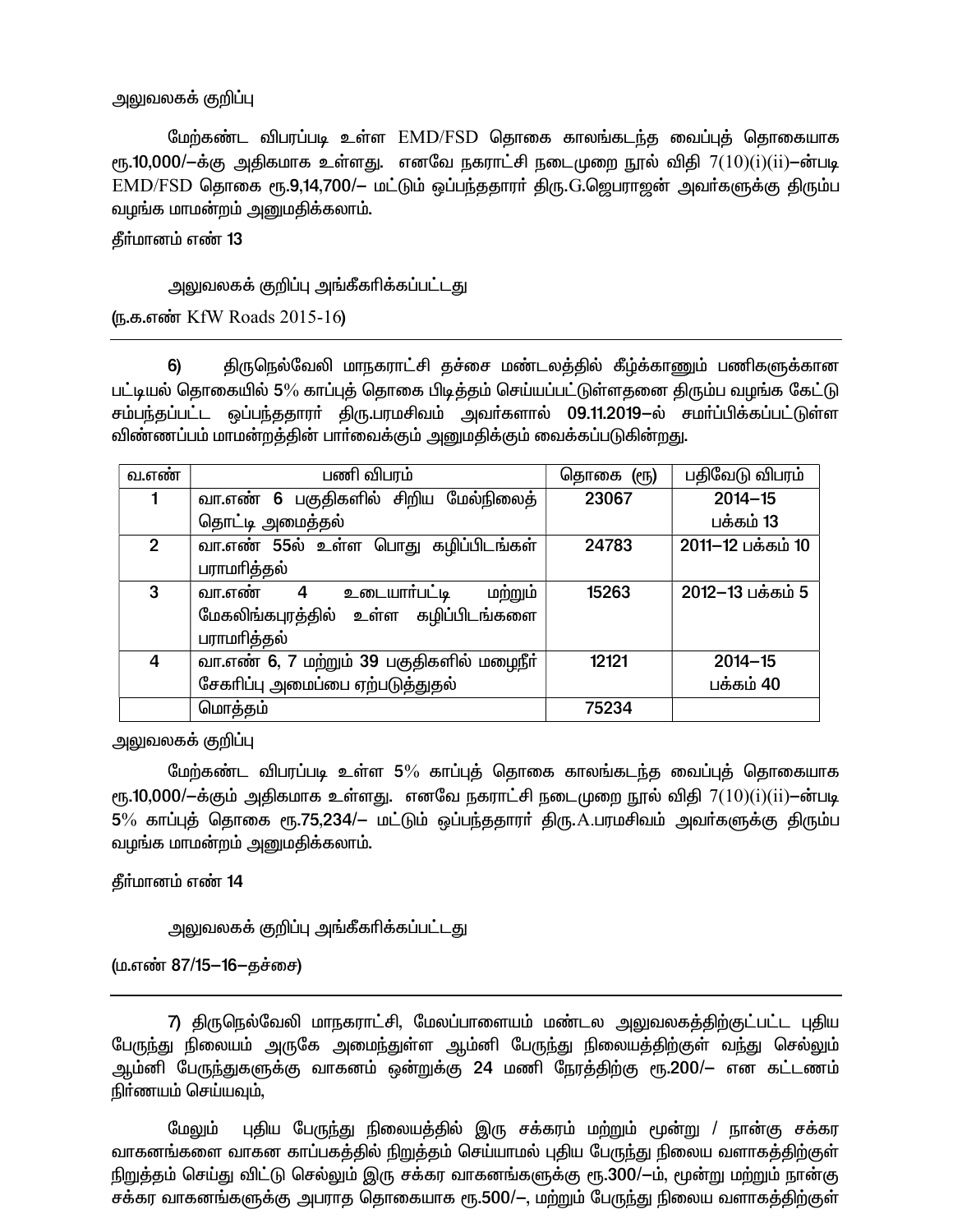### அலுவலகக் குறிப்பு

மேற்கண்ட விபரப்படி உள்ள EMD/FSD தொகை காலங்கடந்த வைப்புத் தொகையாக ரூ.10,000/ $-\dot{\sigma}$ க்கு அதிகமாக உள்ளது. எனவே நகராட்சி நடைமுறை நூல் விதி  $7(10)(i)(ii)$ —ன்படி  $\text{EMD}/\text{FSD}$  தொகை ரூ.9,14,700/– மட்டும் ஒப்பந்ததாரா் திரு. $\text{G}$ .தெபராஜன் அவா்களுக்கு திரும்ப வழங்க மாமன்றம் அனுமதிக்கலாம்.

தீர்மானம் எண் 13

### அலுவலகக் குறிப்பு அங்கீகரிக்கப்பட்டது

ரு.க.எண் KfW Roads 2015-16

திருநெல்வேலி மாநகராட்சி தச்சை மண்டலத்தில் கீழ்க்காணும் பணிகளுக்கான 6) பட்டியல் தொகையில் 5% காப்புத் தொகை பிடித்தம் செய்யப்பட்டுள்ளதனை திரும்ப வழங்க கேட்டு சம்பந்தப்பட்ட ஒப்பந்ததாரா் திரு.பரமசிவம் அவா்களால் 09.11.2019–ல் சமாப்பிக்கப்பட்டுள்ள விண்ணப்பம் மாமன்றத்தின் பார்வைக்கும் அனுமதிக்கும் வைக்கப்படுகின்றது.

| வ.எண்         | பணி விபரம்                                | தொகை<br>$(\epsilon$ | பதிவேடு விபரம்    |
|---------------|-------------------------------------------|---------------------|-------------------|
|               | வா.எண் 6 பகுதிகளில் சிறிய மேல்நிலைத்      | 23067               | $2014 - 15$       |
|               | தொட்டி அமைத்தல்                           |                     | பக்கம் 13         |
| $\mathcal{P}$ | வா.எண் 55ல் உள்ள பொது கழிப்பிடங்கள்       | 24783               | 2011-12 பக்கம் 10 |
|               | பராமரித்தல்                               |                     |                   |
| 3             | உடையார்பட்டி<br>மற்றும்<br>வா.எண்<br>4    | 15263               | 2012-13 பக்கம் 5  |
|               | மேகலிங்கபுரத்தில் உள்ள கழிப்பிடங்களை      |                     |                   |
|               | பராமரித்தல்                               |                     |                   |
| 4             | வா.எண் 6, 7 மற்றும் 39 பகுதிகளில் மழைநீர் | 12121               | $2014 - 15$       |
|               | சேகரிப்பு அமைப்பை ஏற்படுத்துதல்           |                     | பக்கம் 40         |
|               | மொத்தம்                                   | 75234               |                   |

அலுவலகக் குறிப்பு

மேற்கண்ட விபரப்படி உள்ள 5% காப்புத் தொகை காலங்கடந்த வைப்புத் தொகையாக ரு.10,000/ $-\dot{\sigma}$ கும் அதிகமாக உள்ளது. எனவே நகராட்சி நடைமுறை நூல் விதி  $7(10)(i)(ii) - \dot{\sigma}$ படி 5% காப்புத் தொகை ரூ.75,234/– மட்டும் ஒப்பந்ததாரா் திரு.A.பரமசிவம் அவா்களுக்கு திரும்ப வழங்க மாமன்றம் அனுமதிக்கலாம்.

தீர்மானம் எண் 14

அலுவலகக் குறிப்பு அங்கீகரிக்கப்பட்டது

(ம.எண் 87/15–16–தச்சை)

7) திருநெல்வேலி மாநகராட்சி, மேலப்பாளையம் மண்டல அலுவலகத்திற்குட்பட்ட புதிய பேருந்து நிலையம் அருகே அமைந்துள்ள ஆம்னி பேருந்து நிலையத்திற்குள் வந்து செல்லும் ஆம்னி பேருந்துகளுக்கு வாகனம் ஒன்றுக்கு 24 மணி நேரத்திற்கு ரூ.200/— என கட்டணம் நிர்ணயம் செய்யவும்,

புதிய பேருந்து நிலையத்தில் இரு சக்கரம் மற்றும் மூன்று / நான்கு சக்கர மேலும் வாகனங்களை வாகன காப்பகத்தில் நிறுத்தம் செய்யாமல் புதிய பேருந்து நிலைய வளாகத்திற்குள் நிறுத்தம் செய்து விட்டு செல்லும் இரு சக்கர வாகனங்களுக்கு ரூ.300/-ம், மூன்று மற்றும் நான்கு சக்கர வாகனங்களுக்கு அபராத தொகையாக ரூ.500/—, மற்றும் பேருந்து நிலைய வளாகத்திற்குள்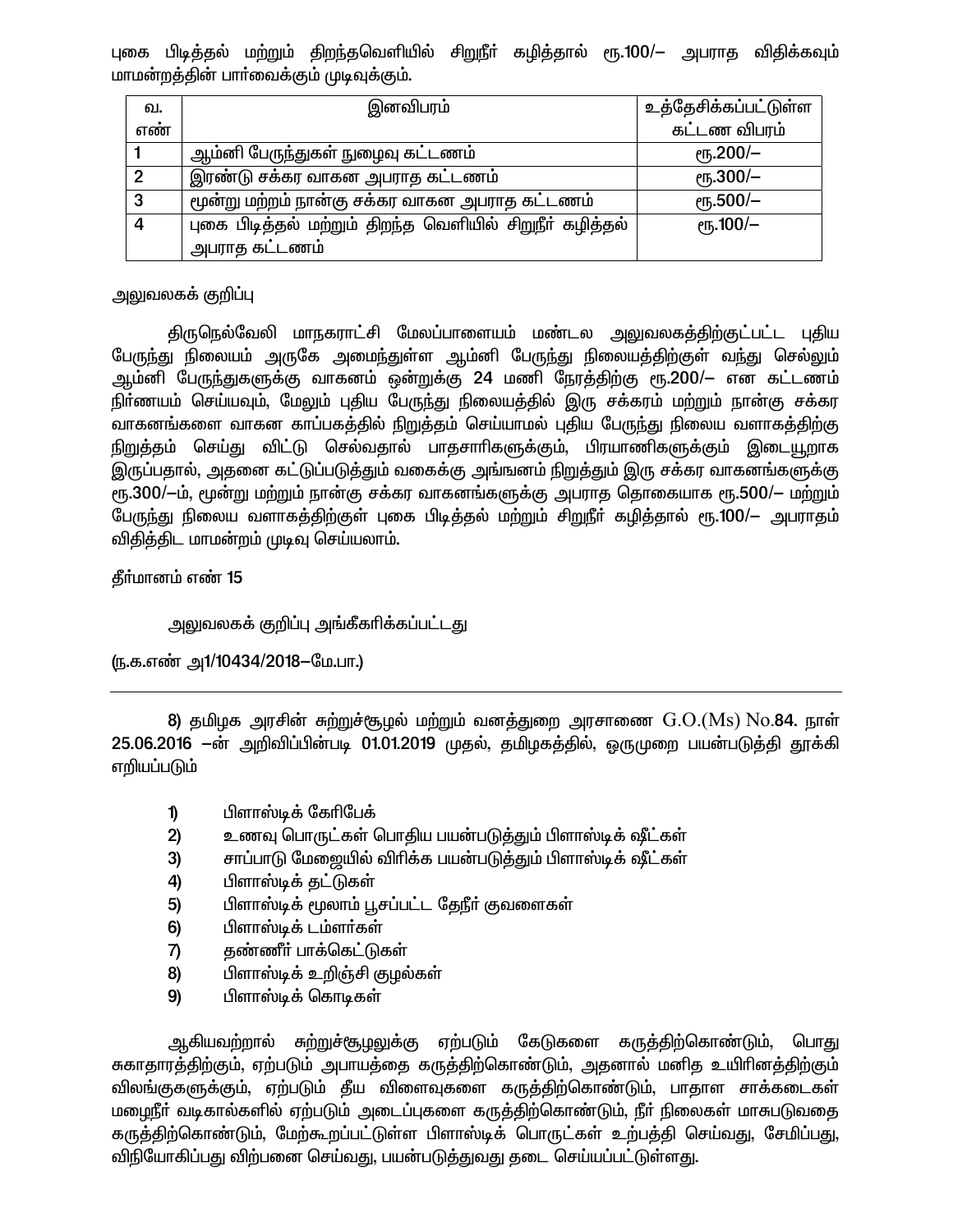புகை பிடித்தல் மற்றும் திறந்தவெளியில் சிறுநீா் கழித்தால் ரூ.100/— அபராத விதிக்கவும் மாமன்றத்தின் பாா்வைக்கும் முடிவுக்கும்.

| வ.           | இனவிபரம்                                                 | உத்தேசிக்கப்பட்டுள்ள |
|--------------|----------------------------------------------------------|----------------------|
| எண்          |                                                          | கட்டண விபரம்         |
|              | ஆம்னி பேருந்துகள் நுழைவு கட்டணம்                         | $\rm (Fb.200/-$      |
| $\mathbf{2}$ | இரண்டு சக்கர வாகன அபராத கட்டணம்                          | $\epsilon$ гђ.300/-  |
| 3            | மூன்று மற்றம் நான்கு சக்கர வாகன அபராத கட்டணம்            | $\epsilon$ гђ.500/-  |
| 4            | புகை பிடித்தல் மற்றும் திறந்த வெளியில் சிறுநீா் கழித்தல் | $\epsilon$ гђ.100/-  |
|              | ் அபராத கட்டணம்                                          |                      |

## அலுவலகக் குறிப்பு

திருநெல்வேலி மாநகராட்சி மேலப்பாளையம் மண்டல அலுவலகத்திற்குட்பட்ட புதிய பேருந்து நிலையம் அருகே அமைந்துள்ள ஆம்னி பேருந்து நிலையத்திற்குள் வந்து செல்லும் ஆம்னி பேருந்துகளுக்கு வாகனம் ஒன்றுக்கு 24 மணி நேரத்திற்கு ரூ.200/— என கட்டணம் நிா்ணயம் செய்யவும், மேலும் புதிய பேருந்து நிலையத்தில் இரு சக்கரம் மற்றும் நான்கு சக்கர வாகனங்களை வாகன காப்பகத்தில் நிறுத்தம் செய்யாமல் புதிய பேருந்து நிலைய வளாகத்திற்கு நிறுத்தம் செய்து விட்டு செல்வதால் பாதசாரிகளுக்கும், பிரயாணிகளுக்கும் இடையூறாக இருப்பதால், அதனை கட்டுப்படுத்தும் வகைக்கு அங்ஙனம் நிறுத்தும் இரு சக்கர வாகனங்களுக்கு ரு.300/-ம், மூன்று மற்றும் நான்கு சக்கர வாகனங்களுக்கு அபராத தொகையாக ரூ.500/- மற்றும் பேருந்து நிலைய வளாகத்திற்குள் புகை பிடித்தல் மற்றும் சிறுநீா் கழித்தால் ரூ.100/— அபராதம் விதித்திட மாமன்றம் முடிவு செய்யலாம்.

தீர்மானம் எண் 15

அலுவலகக் குறிப்பு அங்கீகரிக்கப்பட்டது

(ந.க.எண் அ1/10434/2018–மே.பா.)

8) தமிழக அரசின் சுற்றுச்சூழல் மற்றும் வனத்துறை அரசாணை  $\rm G.O.(Ms) \, No.$ 84. நாள் 25.06.2016 –ன் அறிவிப்பின்படி 01.01.2019 முதல், தமிழகத்தில், ஒருமுறை பயன்படுத்தி தூக்கி எறியப்படும்

- $\mathbf{D}$ பிளாஸ்டிக் கேரிபேக்
- $2)$ உணவு பொருட்கள் பொதிய பயன்படுத்தும் பிளாஸ்டிக் ஷீட்கள்
- சாப்பாடு மேஜையில் விரிக்க பயன்படுக்தும் பிளாஸ்டிக் ஷீட்கள்  $3)$
- 4) பிளாஸ்டிக் தட்டுகள்
- பிளாஸ்டிக் மூலாம் பூசப்பட்ட தேநீர் குவளைகள் 5)
- பிளாஸ்டிக் டம்ளர்கள் 6)
- தண்ணீர் பாக்கெட்டுகள் 7)
- பிளாஸ்டிக் உறிஞ்சி குழல்கள் 8)
- 9) பிளாஸ்டிக் கொடிகள்

ஆகியவற்றால் சுற்றுச்சூழலுக்கு ஏற்படும் கேடுகளை கருத்திற்கொண்டும், பொது சுகாதாரத்திற்கும், ஏற்படும் அபாயத்தை கருத்திற்கொண்டும், அதனால் மனித உயிரினத்திற்கும் விலங்குகளுக்கும், ஏற்படும் தீய விளைவுகளை கருத்திற்கொண்டும், பாதாள சாக்கடைகள் மழைநீா் வடிகால்களில் ஏற்படும் அடைப்புகளை கருத்திற்கொண்டும், நீா் நிலைகள் மாசுபடுவதை கருத்திற்கொண்டும், மேற்கூறப்பட்டுள்ள பிளாஸ்டிக் பொருட்கள் உற்பத்தி செய்வது, சேமிப்பது, விநியோகிப்பது விற்பனை செய்வது, பயன்படுத்துவது தடை செய்யப்பட்டுள்ளது.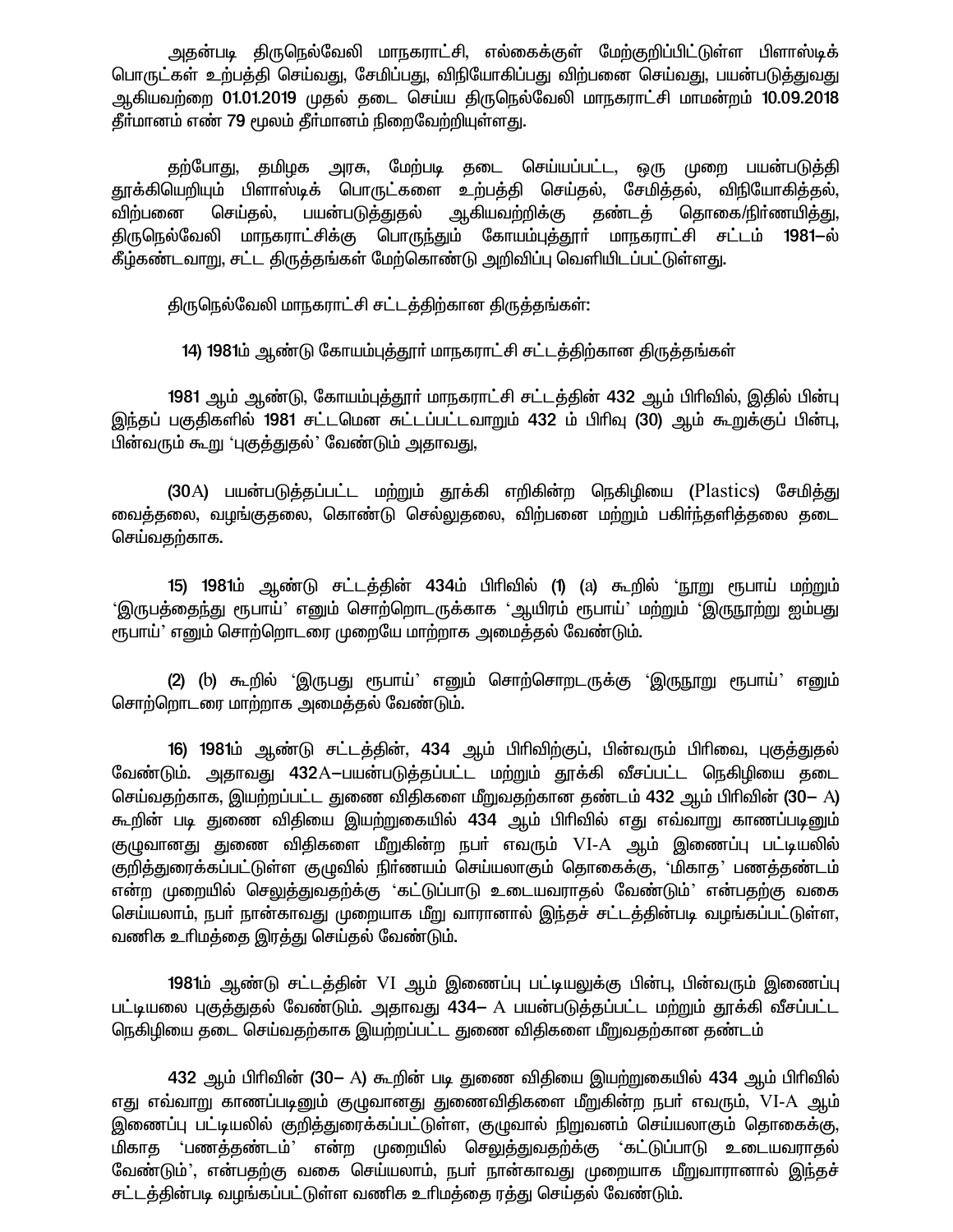அதன்படி திருநெல்வேலி மாநகராட்சி, எல்கைக்குள் மேற்குறிப்பிட்டுள்ள பிளாஸ்டிக் பொருட்கள் உற்பத்தி செய்வது, சேமிப்பது, விநியோகிப்பது விற்பனை செய்வது, பயன்படுத்துவது ஆகியவற்றை 01.01.2019 முதல் தடை செய்ய திருநெல்வேலி மாநகராட்சி மாமன்றம் 10.09.2018 தீர்மானம் எண் 79 மூலம் தீர்மானம் நிறைவேற்றியுள்ளது.

தற்போது, தமிழக அரசு, மேற்படி தடை செய்யப்பட்ட, ஒரு முறை பயன்படுத்தி தூக்கியெறியும் பிளாஸ்டிக் பொருட்களை உற்பத்தி செய்தல், சேமித்தல், விநியோகித்தல், பயன்படுத்துதல் ஆகியவற்றிக்கு தண்டத் தொகை/நிா்ணயித்து, செய்தல், விற்பனை திருநெல்வேலி மாநகராட்சிக்கு பொருந்தும் கோயம்புத்தூா் மாநகராட்சி சட்டம் 1981–ல் .<br>கீழ்கண்டவாறு, சட்ட திருத்தங்கள் மேற்கொண்டு அறிவிப்பு வெளியிடப்பட்டுள்ளது.

திருநெல்வேலி மாநகராட்சி சட்டத்திற்கான திருத்தங்கள்:

14) 1981ம் ஆண்டு கோயம்புத்தூர் மாநகராட்சி சட்டத்திற்கான திருத்தங்கள்

1981 ஆம் ஆண்டு, கோயம்புத்தூா் மாநகராட்சி சட்டத்தின் 432 ஆம் பிரிவில், இதில் பின்பு இந்தப் பகுதிகளில் 1981 சட்டமென சுட்டப்பட்டவாறும் 432 ம் பிரிவு (30) ஆம் கூறுக்குப் பின்பு, பின்வரும் கூறு 'புகுத்துதல்' வேண்டும் அதாவது,

(30A) பயன்படுத்தப்பட்ட மற்றும் தூக்கி எறிகின்ற நெகிழியை (Plastics) சேமித்து வைத்தலை, வழங்குதலை, கொண்டு செல்லுதலை, விற்பனை மற்றும் பகிர்ந்தளித்தலை தடை செய்வதற்காக.

15) 1981ம் ஆண்டு சட்டத்தின் 434ம் பிரிவில் (1) (a) கூறில் 'நூறு ரூபாய் மற்றும் 'இருபத்தைந்து ரூபாய்' எனும் சொற்றொடருக்காக 'ஆயிரம் ரூபாய்' மற்றும் 'இருநூற்று ஐம்பது ரூபாய்' எனும் சொற்றொடரை முறையே மாற்றாக அமைத்தல் வேண்டும்.

(2) (b) கூறில் 'இருபது ரூபாய்' எனும் சொற்சொறடருக்கு 'இருநூறு ரூபாய்' எனும் சொற்றொடரை மாற்றாக அமைத்தல் வேண்டும்.

16) 1981ம் ஆண்டு சட்டத்தின், 434 ஆம் பிரிவிற்குப், பின்வரும் பிரிவை, புகுத்துதல் வேண்டும். அதாவது 432A-பயன்படுத்தப்பட்ட மற்றும் தூக்கி வீசப்பட்ட நெகிழியை தடை செய்வதற்காக, இயற்றப்பட்ட துணை விதிகளை மீறுவதற்கான தண்டம் 432 ஆம் பிரிவின் (30– A) கூறின் படி துணை விதியை இயற்றுகையில் 434 ஆம் பிரிவில் எது எவ்வாறு காணப்படினும் குழுவானது துணை விதிகளை மீறுகின்ற நபா் எவரும் VI-A ஆம் இணைப்பு பட்டியலில் குறித்துரைக்கப்பட்டுள்ள குழுவில் நிா்ணயம் செய்யலாகும் தொகைக்கு, 'மிகாத' பணத்தண்டம் என்ற முறையில் செலுத்துவதற்க்கு 'கட்டுப்பாடு உடையவராதல் வேண்டும்' என்பதற்கு வகை செய்யலாம், நபர் நான்காவது முறையாக மீறு வாரானால் இந்தச் சட்டத்தின்படி வழங்கப்பட்டுள்ள, வணிக உரிமத்தை இரத்து செய்தல் வேண்டும்.

**1981**ம் ஆண்டு சட்டத்தின் VI ஆம் இணைப்பு பட்டியலுக்கு பின்பு, பின்வரும் இணைப்பு பட்டியலை புகுத்துதல் வேண்டும். அதாவது 434- A பயன்படுத்தப்பட்ட மற்றும் தூக்கி வீசப்பட்ட நெகிழியை தடை செய்வதற்காக இயற்றப்பட்ட துணை விதிகளை மீறுவதற்கான தண்டம்

432 ஆம் பிரிவின் (30− A) கூறின் படி துணை விதியை இயற்றுகையில் 434 ஆம் பிரிவில் எது எவ்வாறு காணப்படினும் குழுவானது துணைவிதிகளை மீறுகின்ற நபா் எவரும், VI-A ஆம் இணைப்பு பட்டியலில் குறித்துரைக்கப்பட்டுள்ள, குழுவால் நிறுவனம் செய்யலாகும் தொகைக்கு, மிகாத 'பணத்தண்டம்' என்ற முறையில் செலுத்துவதற்க்கு 'கட்டுப்பாடு உடையவராதல் வேண்டும்', என்பதற்கு வகை செய்யலாம், நபர் நான்காவது முறையாக மீறுவாரானால் இந்தச் சட்டத்தின்படி வழங்கப்பட்டுள்ள வணிக உரிமத்தை ரத்து செய்தல் வேண்டும்.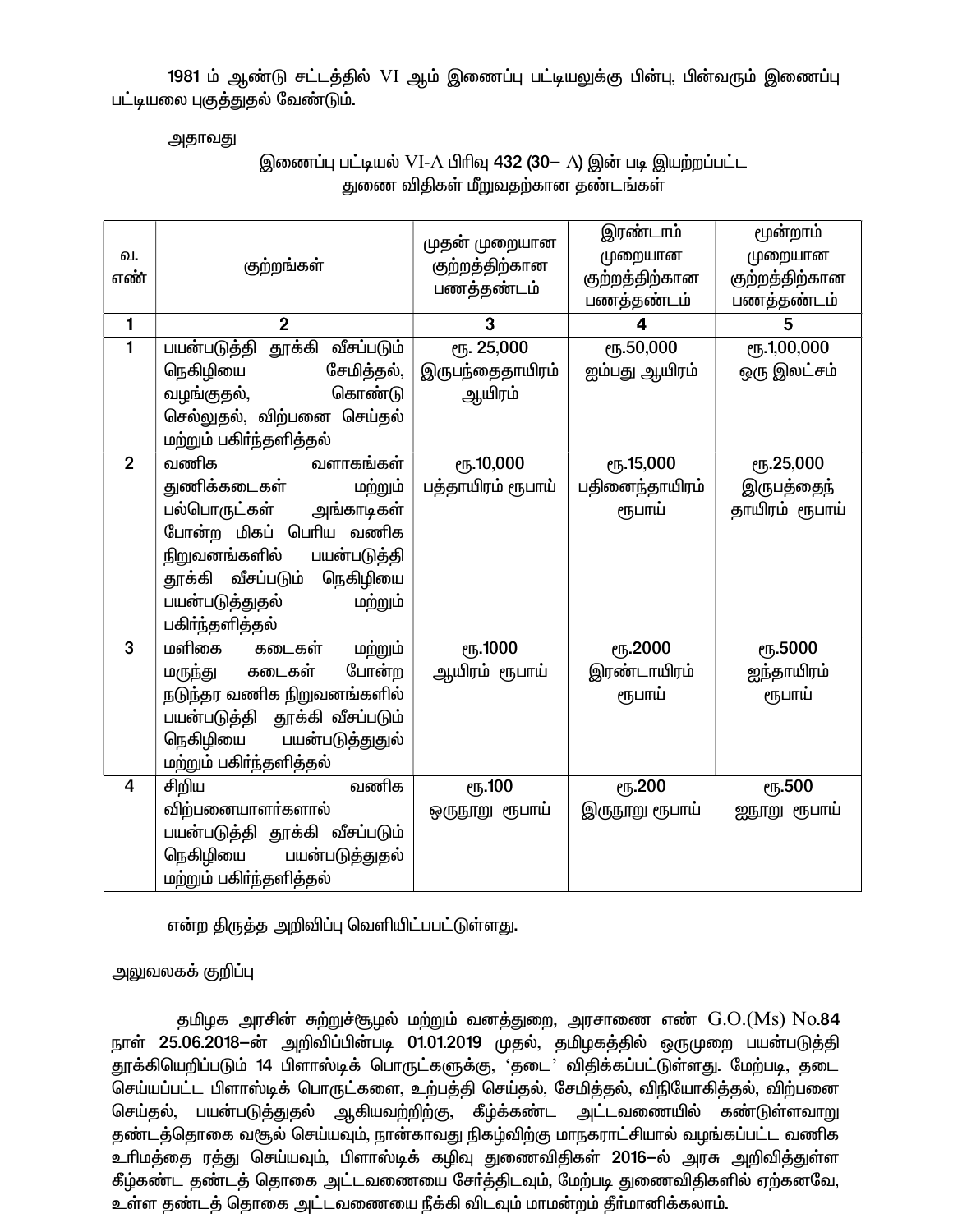1981 ம் ஆண்டு சட்டத்தில் VI ஆம் இணைப்பு பட்டியலுக்கு பின்பு, பின்வரும் இணைப்பு பட்டியலை புகுத்துதல் வேண்டும்.

அதாவது

### இணைப்பு பட்டியல் VI-A பிரிவு 432 (30- A) இன் படி இயற்றப்பட்ட துணை விதிகள் மீறுவதற்கான தண்டங்கள்

| வ.<br>எண்      | குற்றங்கள்                    | முதன் முறையான<br>குற்றத்திற்கான<br>பணத்தண்டம் | இரண்டாம்<br>முறையான<br>குற்றத்திற்கான<br>பணத்தண்டம் | மூன்றாம்<br>முறையான<br>குற்றத்திற்கான<br>பணத்தண்டம் |
|----------------|-------------------------------|-----------------------------------------------|-----------------------------------------------------|-----------------------------------------------------|
| 1              | $\overline{2}$                | 3                                             | 4                                                   | 5                                                   |
| $\mathbf{1}$   | பயன்படுத்தி தூக்கி வீசப்படும் | ரு. 25,000                                    | <b>е</b> ђ.50,000                                   | ღந.1,00,000                                         |
|                | நெகிழியை<br>சேமித்தல்,        | இருபந்தைதாயிரம்                               | ஐம்பது ஆயிரம்                                       | ஒரு இலட்சம்                                         |
|                | கொண்டு<br>வழங்குதல்,          | ஆயிரம்                                        |                                                     |                                                     |
|                | செல்லுதல், விற்பனை செய்தல்    |                                               |                                                     |                                                     |
|                | மற்றும் பகிா்ந்தளித்தல்       |                                               |                                                     |                                                     |
| $\overline{2}$ | வணிக<br>வளாகங்கள்             | <b>е</b> ђ.10,000                             | <b>е</b> ђ.15,000                                   | ღნ.25,000                                           |
|                | மற்றும்<br>துணிக்கடைகள்       | பத்தாயிரம் ரூபாய்                             | பதினைந்தாயிரம்                                      | இருபத்தைந்                                          |
|                | பல்பொருட்கள்<br>அங்காடிகள்    |                                               | ரூபாய்                                              | தாயிரம் ரூபாய்                                      |
|                | போன்ற மிகப் பெரிய வணிக        |                                               |                                                     |                                                     |
|                | நிறுவனங்களில்<br>பயன்படுத்தி  |                                               |                                                     |                                                     |
|                | தூக்கி வீசப்படும்<br>நெகிழியை |                                               |                                                     |                                                     |
|                | பயன்படுத்துதல்<br>மற்றும்     |                                               |                                                     |                                                     |
|                | பகிா்ந்தளித்தல்               |                                               |                                                     |                                                     |
| 3              | கடைகள்<br>மற்றும்<br>மளிகை    | <b>е</b> ђ.1000                               | ரூ.2000                                             | ரு.5000                                             |
|                | போன்ற<br>கடைகள்<br>மருந்து    | ஆயிரம் ரூபாய்                                 | இரண்டாயிரம்                                         | ஐந்தாயிரம்                                          |
|                | நடுந்தர வணிக நிறுவனங்களில்    |                                               | ரூபாய்                                              | ரூபாய்                                              |
|                | பயன்படுத்தி தூக்கி வீசப்படும் |                                               |                                                     |                                                     |
|                | நெகிழியை பயன்படுத்துதுல்      |                                               |                                                     |                                                     |
|                | மற்றும் பகிா்ந்தளித்தல்       |                                               |                                                     |                                                     |
| 4              | வணிக<br>சிறிய                 | ரூ.100                                        | ரூ.200                                              | ரூ.500                                              |
|                | விற்பனையாளர்களால்             | ஒருநூறு ரூபாய்                                | இருநூறு ரூபாய்                                      | ஐநூறு ரூபாய்                                        |
|                | பயன்படுத்தி தூக்கி வீசப்படும் |                                               |                                                     |                                                     |
|                | நெகிழியை<br>பயன்படுத்துதல்    |                                               |                                                     |                                                     |
|                | மற்றும் பகிர்ந்தளித்தல்       |                                               |                                                     |                                                     |

என்ற திருத்த அறிவிப்பு வெளியிட்பபட்டுள்ளது.

அலுவலகக் குறிப்பு

தமிழக அரசின் சுற்றுச்சூழல் மற்றும் வனத்துறை, அரசாணை எண்  $\rm G.O.(Ms)~No.$ 84 நாள் 25.06.2018—ன் அறிவிப்பின்படி 01.01.2019 முதல், தமிழகத்தில் ஒருமுறை பயன்படுத்தி தூக்கியெறிப்படும் 14 பிளாஸ்டிக் பொருட்களுக்கு, 'தடை' விதிக்கப்பட்டுள்ளது. மேற்படி, தடை செய்யப்பட்ட பிளாஸ்டிக் பொருட்களை, உற்பத்தி செய்தல், சேமித்தல், விநியோகித்தல், விற்பனை செய்தல், பயன்படுத்துதல் ஆகியவற்றிற்கு, கீழ்க்கண்ட அட்டவணையில் கண்டுள்ளவாறு தண்டத்தொகை வசூல் செய்யவும், நான்காவது நிகழ்விற்கு மாநகராட்சியால் வழங்கப்பட்ட வணிக உரிமத்தை ரத்து செய்யவும், பிளாஸ்டிக் கழிவு துணைவிதிகள் 2016–ல் அரசு அறிவித்துள்ள கீழ்கண்ட தண்டத் தொகை அட்டவணையை சேர்த்திடவும், மேற்படி துணைவிதிகளில் ஏற்கனவே, உள்ள தண்டத் தொகை அட்டவணையை நீக்கி விடவும் மாமன்றம் தீர்மானிக்கலாம்.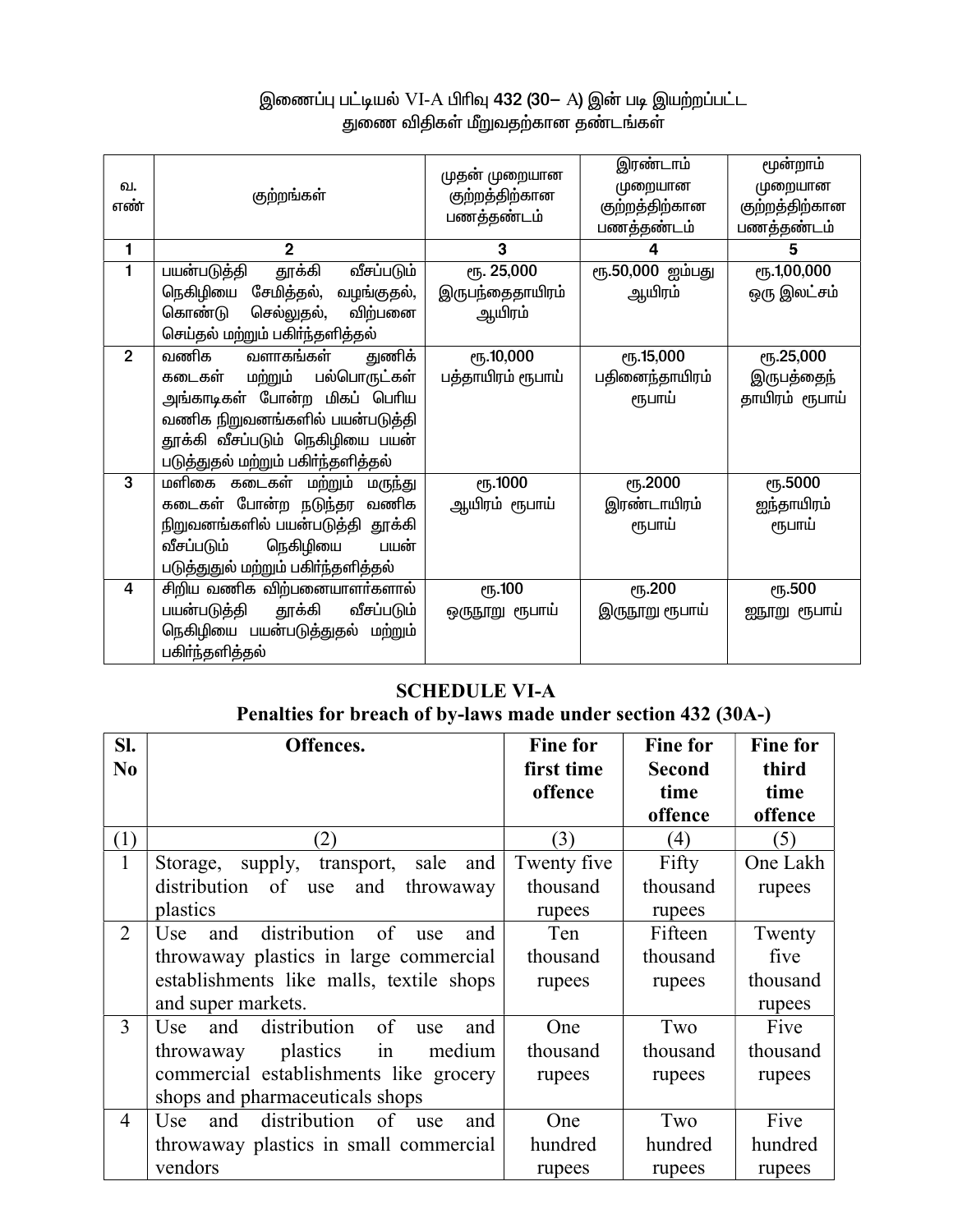# இணைப்பு பட்டியல் VI-A பிரிவு **432 (30**— A) இன் படி இயற்றப்பட்ட<br>துணை விதிகள் மீறுவதற்கான தண்டங்கள்

| குற்றங்கள்                         | முதன் முறையான<br>குற்றத்திற்கான<br>பணத்தண்டம்                                                                                                                                                                                                                                                                                                                                                                                                                                                                                                                                 | இரண்டாம்<br>முறையான<br>குற்றத்திற்கான<br>பணத்தண்டம்                                                                                 | மூன்றாம்<br>முறையான<br>குற்றத்திற்கான<br>பணத்தண்டம்<br>5                                                                      |
|------------------------------------|-------------------------------------------------------------------------------------------------------------------------------------------------------------------------------------------------------------------------------------------------------------------------------------------------------------------------------------------------------------------------------------------------------------------------------------------------------------------------------------------------------------------------------------------------------------------------------|-------------------------------------------------------------------------------------------------------------------------------------|-------------------------------------------------------------------------------------------------------------------------------|
|                                    |                                                                                                                                                                                                                                                                                                                                                                                                                                                                                                                                                                               |                                                                                                                                     |                                                                                                                               |
|                                    |                                                                                                                                                                                                                                                                                                                                                                                                                                                                                                                                                                               |                                                                                                                                     | <b>е</b> ந.1,00,000                                                                                                           |
|                                    |                                                                                                                                                                                                                                                                                                                                                                                                                                                                                                                                                                               |                                                                                                                                     | ஒரு இலட்சம்                                                                                                                   |
|                                    |                                                                                                                                                                                                                                                                                                                                                                                                                                                                                                                                                                               |                                                                                                                                     |                                                                                                                               |
|                                    |                                                                                                                                                                                                                                                                                                                                                                                                                                                                                                                                                                               |                                                                                                                                     |                                                                                                                               |
|                                    |                                                                                                                                                                                                                                                                                                                                                                                                                                                                                                                                                                               |                                                                                                                                     | <b>е</b> 5.000                                                                                                                |
|                                    |                                                                                                                                                                                                                                                                                                                                                                                                                                                                                                                                                                               |                                                                                                                                     | இருபத்தைந்                                                                                                                    |
|                                    |                                                                                                                                                                                                                                                                                                                                                                                                                                                                                                                                                                               |                                                                                                                                     | தாயிரம் ரூபாய்                                                                                                                |
|                                    |                                                                                                                                                                                                                                                                                                                                                                                                                                                                                                                                                                               |                                                                                                                                     |                                                                                                                               |
| தூக்கி வீசப்படும் நெகிழியை பயன்    |                                                                                                                                                                                                                                                                                                                                                                                                                                                                                                                                                                               |                                                                                                                                     |                                                                                                                               |
| படுத்துதல் மற்றும் பகிர்ந்தளித்தல் |                                                                                                                                                                                                                                                                                                                                                                                                                                                                                                                                                                               |                                                                                                                                     |                                                                                                                               |
|                                    | <b>е</b> љ. 1000                                                                                                                                                                                                                                                                                                                                                                                                                                                                                                                                                              | ரூ.2000                                                                                                                             | ரூ.5000                                                                                                                       |
|                                    |                                                                                                                                                                                                                                                                                                                                                                                                                                                                                                                                                                               |                                                                                                                                     | ஐந்தாயிரம்                                                                                                                    |
|                                    |                                                                                                                                                                                                                                                                                                                                                                                                                                                                                                                                                                               |                                                                                                                                     | ரூபாய்                                                                                                                        |
|                                    |                                                                                                                                                                                                                                                                                                                                                                                                                                                                                                                                                                               |                                                                                                                                     |                                                                                                                               |
|                                    |                                                                                                                                                                                                                                                                                                                                                                                                                                                                                                                                                                               |                                                                                                                                     |                                                                                                                               |
| சிறிய வணிக விற்பனையாளர்களால்       |                                                                                                                                                                                                                                                                                                                                                                                                                                                                                                                                                                               |                                                                                                                                     | ரூ.500                                                                                                                        |
|                                    |                                                                                                                                                                                                                                                                                                                                                                                                                                                                                                                                                                               |                                                                                                                                     | ஐநூறு ரூபாய்                                                                                                                  |
|                                    |                                                                                                                                                                                                                                                                                                                                                                                                                                                                                                                                                                               |                                                                                                                                     |                                                                                                                               |
|                                    |                                                                                                                                                                                                                                                                                                                                                                                                                                                                                                                                                                               |                                                                                                                                     |                                                                                                                               |
|                                    | $\overline{2}$<br>தூக்கி<br>வீசப்படும்<br>பயன்படுத்தி<br>நெகிழியை<br>சேமித்தல், வழங்குதல்,<br>கொண்டு<br>செல்லுதல்,<br>விற்பனை<br>செய்தல் மற்றும் பகிர்ந்தளித்தல்<br>வளாகங்கள்<br>வணிக<br>துணிக்<br>மற்றும்<br>பல்பொருட்கள்<br>கடைகள்<br>அங்காடிகள் போன்ற மிகப் பெரிய<br>வணிக நிறுவனங்களில் பயன்படுத்தி<br>மளிகை கடைகள் மற்றும் மருந்து<br>கடைகள் போன்ற நடுந்தர வணிக<br>நிறுவனங்களில் பயன்படுத்தி தூக்கி<br>நெகிழியை<br>வீசப்படும்<br>பயன்<br>படுத்துதுல் மற்றும் பகிா்ந்தளித்தல்<br>பயன்படுத்தி<br>தூக்கி<br>வீசப்படும்<br>நெகிழியை பயன்படுத்துதல் மற்றும்<br>பகிா்ந்தளித்தல் | 3<br>ரூ. 25,000<br>இருபந்தைதாயிரம்<br>ஆயிரம்<br><b>е</b> ђ.10,000<br>பத்தாயிரம் ரூபாய்<br>ஆயிரம் ரூபாய்<br>ரூ.100<br>ஒருநூறு ரூபாய் | 4<br>ரூ.50,000 ஐம்பது<br>ஆயிரம்<br>ரு.15,000<br>பதினைந்தாயிரம்<br>ரூபாய்<br>இரண்டாயிரம்<br>ரூபாய்<br>ரூ.200<br>இருநூறு ரூபாய் |

# **SCHEDULE VI-A**

# Penalties for breach of by-laws made under section 432 (30A-)

| SI.<br>N <sub>0</sub> | Offences.                                      | <b>Fine for</b><br>first time | <b>Fine for</b><br><b>Second</b> | <b>Fine for</b><br>third |
|-----------------------|------------------------------------------------|-------------------------------|----------------------------------|--------------------------|
|                       |                                                | offence                       | time                             | time                     |
|                       |                                                |                               | offence                          | offence                  |
| (1)                   | (2)                                            | (3)                           | (4)                              | (5)                      |
| $\mathbf{1}$          | transport, sale<br>and<br>supply,<br>Storage,  | Twenty five                   | Fifty                            | One Lakh                 |
|                       | distribution of use<br>and<br>throwaway        | thousand                      | thousand                         | rupees                   |
|                       | plastics                                       | rupees                        | rupees                           |                          |
| $\overline{2}$        | distribution<br>and<br>of<br>Use<br>and<br>use | Ten                           | Fifteen                          | Twenty                   |
|                       | throwaway plastics in large commercial         | thousand                      | thousand                         | five                     |
|                       | establishments like malls, textile shops       | rupees                        | rupees                           | thousand                 |
|                       | and super markets.                             |                               |                                  | rupees                   |
| $\overline{3}$        | distribution<br>and<br>of<br>Use<br>and<br>use | One                           | Two                              | Five                     |
|                       | plastics<br>medium<br>throwaway<br>in          | thousand                      | thousand                         | thousand                 |
|                       | commercial establishments like grocery         | rupees                        | rupees                           | rupees                   |
|                       | shops and pharmaceuticals shops                |                               |                                  |                          |
| $\overline{4}$        | distribution<br>and<br>of<br>Use<br>and<br>use | One                           | Two                              | Five                     |
|                       | throwaway plastics in small commercial         | hundred                       | hundred                          | hundred                  |
|                       | vendors                                        | rupees                        | rupees                           | rupees                   |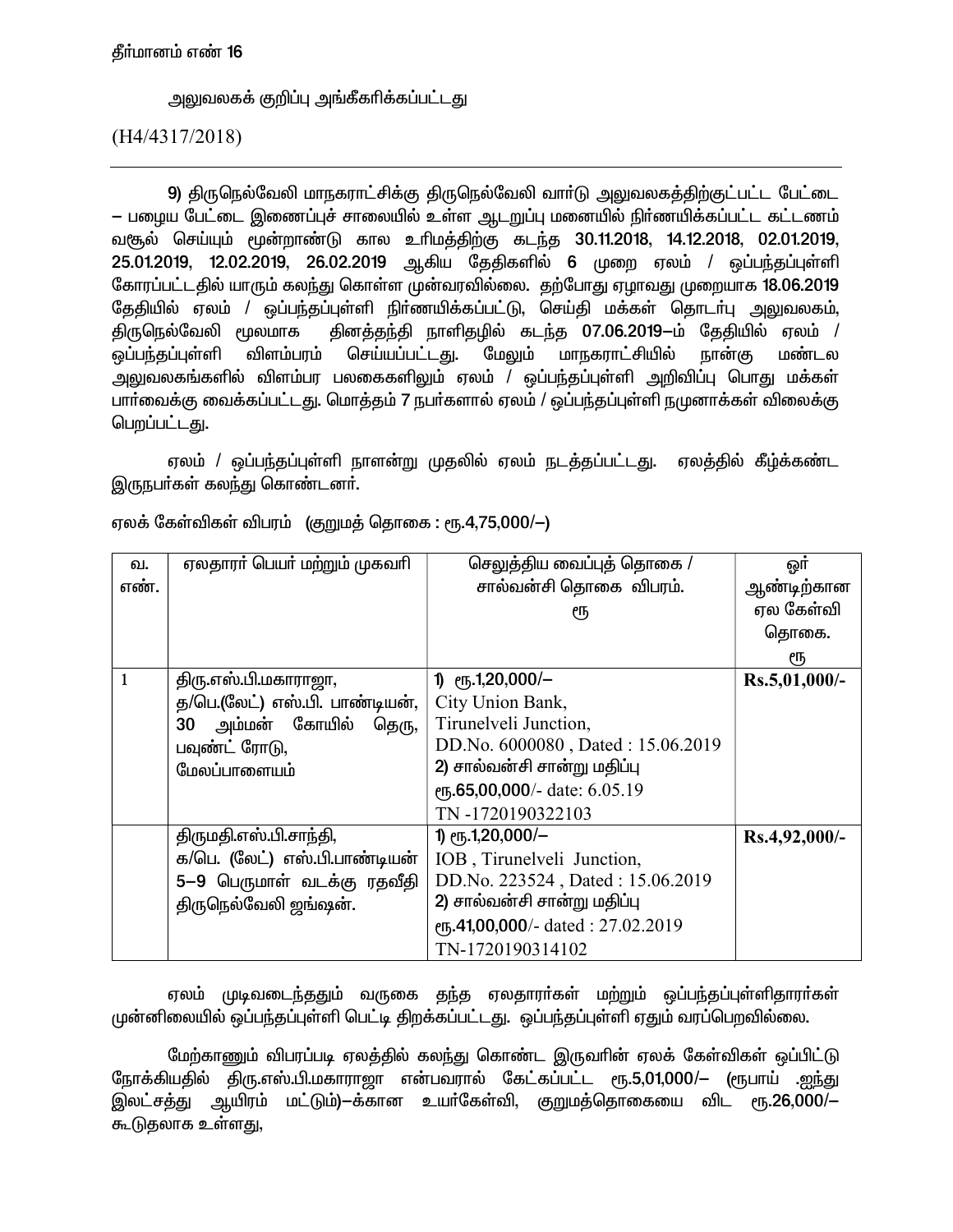அலுவலகக் குறிப்பு அங்கீகரிக்கப்பட்டது

 $(H4/4317/2018)$ 

9) திருநெல்வேலி மாநகராட்சிக்கு திருநெல்வேலி வார்டு அலுவலகத்திற்குட்பட்ட பேட்டை — பழைய பேட்டை இணைப்புச் சாலையில் உள்ள ஆடறுப்பு மனையில் நிர்ணயிக்கப்பட்ட கட்டணம் வசூல் செய்யும் மூன்றாண்டு கால உரிமத்திற்கு கடந்த 30.11.2018, 14.12.2018, 02.01.2019, 25.01.2019, 12.02.2019, 26.02.2019 ஆகிய தேதிகளில் 6 முறை ஏலம் / ஒப்பந்தப்புள்ளி கோரப்பட்டதில் யாரும் கலந்து கொள்ள முன்வரவில்லை. தற்போது ஏழாவது முறையாக 18.06.2019 தேதியில் ஏலம் / ஒப்பந்தப்புள்ளி நிர்ணயிக்கப்பட்டு, செய்தி மக்கள் தொடர்பு அலுவலகம், தினத்தந்தி நாளிதழில் கடந்த 07.06.2019-ம் தேதியில் ஏலம் / திருநெல்வேலி மூலமாக ஒப்பந்தப்புள்ளி விளம்பரம் செய்யப்பட்டது. மேலும் மாநகராட்சியில் நான்கு மண்டல ு<br>அலுவலகங்களில் விளம்பர பலகைகளிலும் ஏலம் / ஒப்பந்தப்புள்ளி அறிவிப்பு பொது மக்கள் பார்வைக்கு வைக்கப்பட்டது. மொத்தம் 7 நபர்களால் ஏலம் / ஒப்பந்தப்புள்ளி நமுனாக்கள் விலைக்கு பெறப்பட்டது.

ஏலம் / ஒப்பந்தப்புள்ளி நாளன்று முதலில் ஏலம் நடத்தப்பட்டது. ஏலத்தில் கீழ்க்கண்ட இருநபர்கள் கலந்து கொண்டனர்.

| வ.   | ஏலதாரா் பெயா் மற்றும் முகவாி   | செலுத்திய வைப்புத் தொகை /         | ஒர்           |
|------|--------------------------------|-----------------------------------|---------------|
| எண். |                                | சால்வன்சி தொகை விபரம்.            | ஆண்டிற்கான    |
|      |                                | ரூ                                | ஏல கேள்வி     |
|      |                                |                                   | தொகை.         |
|      |                                |                                   | ரூ            |
| 1    | திரு.எஸ்.பி.மகாராஜா,           | 1) $\epsilon$ 15.1,20,000/-       | Rs.5,01,000/- |
|      | த/பெ.(லேட்) எஸ்.பி. பாண்டியன், | City Union Bank,                  |               |
|      | அம்மன் கோயில்<br>30<br>தெரு,   | Tirunelveli Junction,             |               |
|      | பவுண்ட் ரோடு,                  | DD.No. 6000080, Dated: 15.06.2019 |               |
|      | மேலப்பாளையம்                   | 2) சால்வன்சி சான்று மதிப்பு       |               |
|      |                                | еҧ.65,00,000/- date: 6.05.19      |               |
|      |                                | TN-1720190322103                  |               |
|      | திருமதி.எஸ்.பி.சாந்தி,         | $1)$ erg. 1,20,000/-              | Rs.4,92,000/- |
|      | க/பெ. (லேட்) எஸ்.பி.பாண்டியன்  | IOB, Tirunelveli Junction,        |               |
|      | 5-9 பெருமாள் வடக்கு ரதவீதி     | DD.No. 223524, Dated: 15.06.2019  |               |
|      | திருநெல்வேலி ஜங்ஷன்.           | 2) சால்வன்சி சான்று மதிப்பு       |               |
|      |                                | еҧ.41,00,000/- dated: 27.02.2019  |               |
|      |                                | TN-1720190314102                  |               |

ஏலக் கேள்விகள் விபரம் (குறுமத் தொகை : ரூ.4,75,000/—)

ஏலம் முடிவடைந்ததும் வருகை தந்த ஏலதாரா்கள் மற்றும் ஒப்பந்தப்புள்ளிதாரா்கள் முன்னிலையில் ஒப்பந்தப்புள்ளி பெட்டி திறக்கப்பட்டது. ஒப்பந்தப்புள்ளி ஏதும் வரப்பெறவில்லை.

மேற்காணும் விபரப்படி ஏலத்தில் கலந்து கொண்ட இருவரின் ஏலக் கேள்விகள் ஒப்பிட்டு நோக்கியதில் திரு.எஸ்.பி.மகாராஜா என்பவரால் கேட்கப்பட்ட ரூ.5,01,000/— (ரூபாய் .<u>ஐந்து</u> இலட்சத்து ஆயிரம் மட்டும்)—க்கான உயர்கேள்வி, குறுமத்தொகையை விட ரூ.26,000/— கூடுதலாக உள்ளது,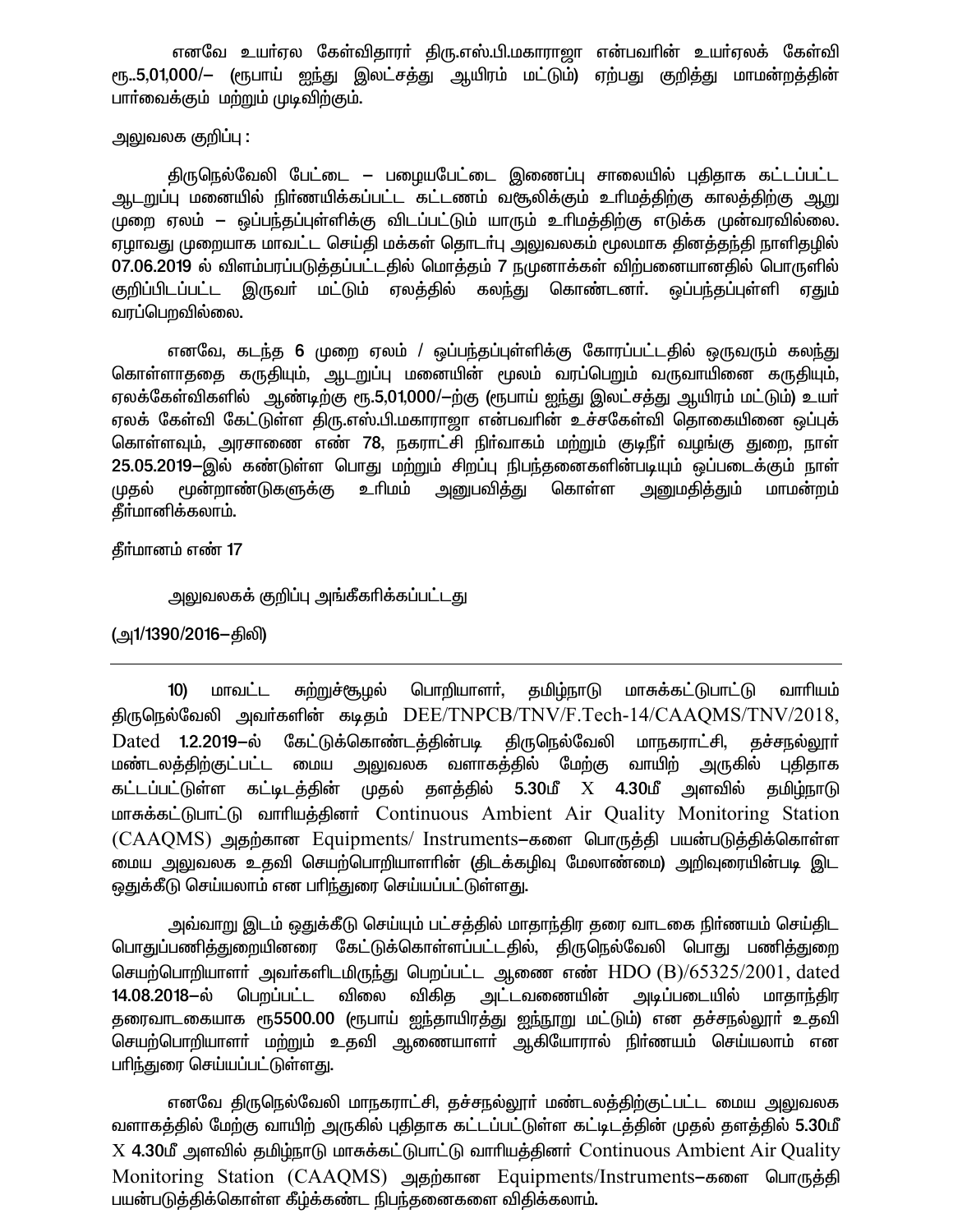எனவே உயர்ஏல கேள்விதாரர் திரு.எஸ்.பி.மகாராஜா என்பவரின் உயர்ஏலக் கேள்வி ரூ..5,01,000/— (ரூபாய் ஐந்து இலட்சத்து ஆயிரம் மட்டும்) ஏற்பது குறித்து மாமன்றத்தின் பார்வைக்கும் மற்றும் முடிவிற்கும்.

#### அலுவலக குறிப்பு :

திருநெல்வேலி பேட்டை – பழையபேட்டை இணைப்பு சாலையில் புதிதாக கட்டப்பட்ட ஆடறுப்பு மனையில் நிா்ணயிக்கப்பட்ட கட்டணம் வசூலிக்கும் உரிமத்திற்கு காலத்திற்கு ஆறு முறை ஏலம் – ஒப்பந்தப்புள்ளிக்கு விடப்பட்டும் யாரும் உரிமத்திற்கு எடுக்க முன்வரவில்லை. ஏழாவது முறையாக மாவட்ட செய்தி மக்கள் தொடர்பு அலுவலகம் மூலமாக தினத்தந்தி நாளிதழில் 07.06.2019 ல் விளம்பரப்படுத்தப்பட்டதில் மொத்தம் 7 நுமுனாக்கள் விற்பனையானதில் பொருளில் குறிப்பிடப்பட்ட இருவா் மட்டும் ஏலத்தில் கலந்து கொண்டனா். ஒப்பந்தப்புள்ளி ஏதும் வரப்பெறவில்லை.

எனவே, கடந்த 6 முறை ஏலம் / ஒப்பந்தப்புள்ளிக்கு கோரப்பட்டதில் ஒருவரும் கலந்து கொள்ளாததை கருதியும், ஆடறுப்பு மனையின் மூலம் வரப்பெறும் வருவாயினை கருதியும், ஏலக்கேள்விகளில் அண்டிற்கு ரூ.5,01,000/-ற்கு (ரூபாய் ஐந்து இலட்சத்து ஆயிரம் மட்டும்) உயர் ஏலக் கேள்வி கேட்டுள்ள திரு.எஸ்.பி.மகாராஜா என்பவரின் உச்சகேள்வி தொகையினை ஒப்புக் கொள்ளவும், அரசாணை எண் 78, நகராட்சி நிர்வாகம் மற்றும் குடிநீர் வழங்கு துறை, நாள் 25.05.2019-இல் கண்டுள்ள பொது மற்றும் சிறப்பு நிபந்தனைகளின்படியும் ஒப்படைக்கும் நாள் மூன்றாண்டுகளுக்கு உரிமம் அனுபவிக்து கொள்ள அனுமகிக்தும் மாமன்றம் முகல் தீர்மானிக்கலாம்.

கீர்மானம் எண் 17

அலுவலகக் குறிப்பு அங்கீகாிக்கப்பட்டது

(அ1/1390/2016–திலி)

சுற்றுச்சூழல் பொறியாளா், தமிழ்நாடு மாசுக்கட்டுபாட்டு மாவட்ட வாரியம்  $10)$ திருநெல்வேலி அவர்களின் கடிதம் DEE/TNPCB/TNV/F.Tech-14/CAAQMS/TNV/2018, Dated 1.2.2019-ல் கேட்டுக்கொண்டத்தின்படி திருநெல்வேலி மாநகராட்சி, தச்சநல்லூா் <u>மண்டலத்திற்குட்பட்ட மைய அலுவலக வளாகத்தில் மேற்கு வாயிற் அருகில் புதிதாக</u> கட்டப்பட்டுள்ள கட்டிடத்தின் முதல் தளத்தில் 5.30மீ X 4.30மீ அளவில் தமிழ்நாடு மாசுக்கட்டுபாட்டு வாரியத்தினர் Continuous Ambient Air Quality Monitoring Station (CAAQMS) அதற்கான Equipments/ Instruments–களை பொருத்தி பயன்படுத்திக்கொள்ள .<br>மைய அலுவலக உதவி செயற்பொறியாளாின் (திடக்கழிவு மேலாண்மை) அறிவுரையின்படி இட ஒதுக்கீடு செய்யலாம் என பரிந்துரை செய்யப்பட்டுள்ளது.

அவ்வாறு இடம் ஒதுக்கீடு செய்யும் பட்சத்தில் மாதாந்திர தரை வாடகை நிர்ணயம் செய்திட பொதுப்பணித்துறையினரை கேட்டுக்கொள்ளப்பட்டதில், திருநெல்வேலி பொது பணித்துறை செயற்பொறியாளர் அவர்களிடமிருந்து பெறப்பட்ட ஆணை எண்  $HDO(B)/65325/2001$ , dated 14.08.2018-ல் பெறப்பட்ட விகித அட்டவணையின் அடிப்படையில் மாதாந்திர விலை தரைவாடகையாக ரூ5500.00 (ரூபாய் ஐந்தாயிரத்து ஐந்நூறு மட்டும்) என தச்சநல்லூா் உதவி செயற்பொறியாளா் மற்றும் உதவி ஆணையாளா் ஆகியோரால் நிா்ணயம் செய்யலாம் என பரிந்துரை செய்யப்பட்டுள்ளது.

எனவே திருநெல்வேலி மாநகராட்சி, தச்சநல்லூா் மண்டலத்திற்குட்பட்ட மைய அலுவலக வளாகத்தில் மேற்கு வாயிற் அருகில் புதிதாக கட்டப்பட்டுள்ள கட்டிடத்தின் முதல் தளத்தில் 5.30மீ X 4.30மீ அளவில் தமிழ்நாடு மாசுக்கட்டுபாட்டு வாரியத்தினர் Continuous Ambient Air Quality Monitoring Station (CAAQMS) அதற்கான Equipments/Instruments–களை பொருத்தி பயன்படுத்திக்கொள்ள கீழ்க்கண்ட நிபந்தனைகளை விதிக்கலாம்.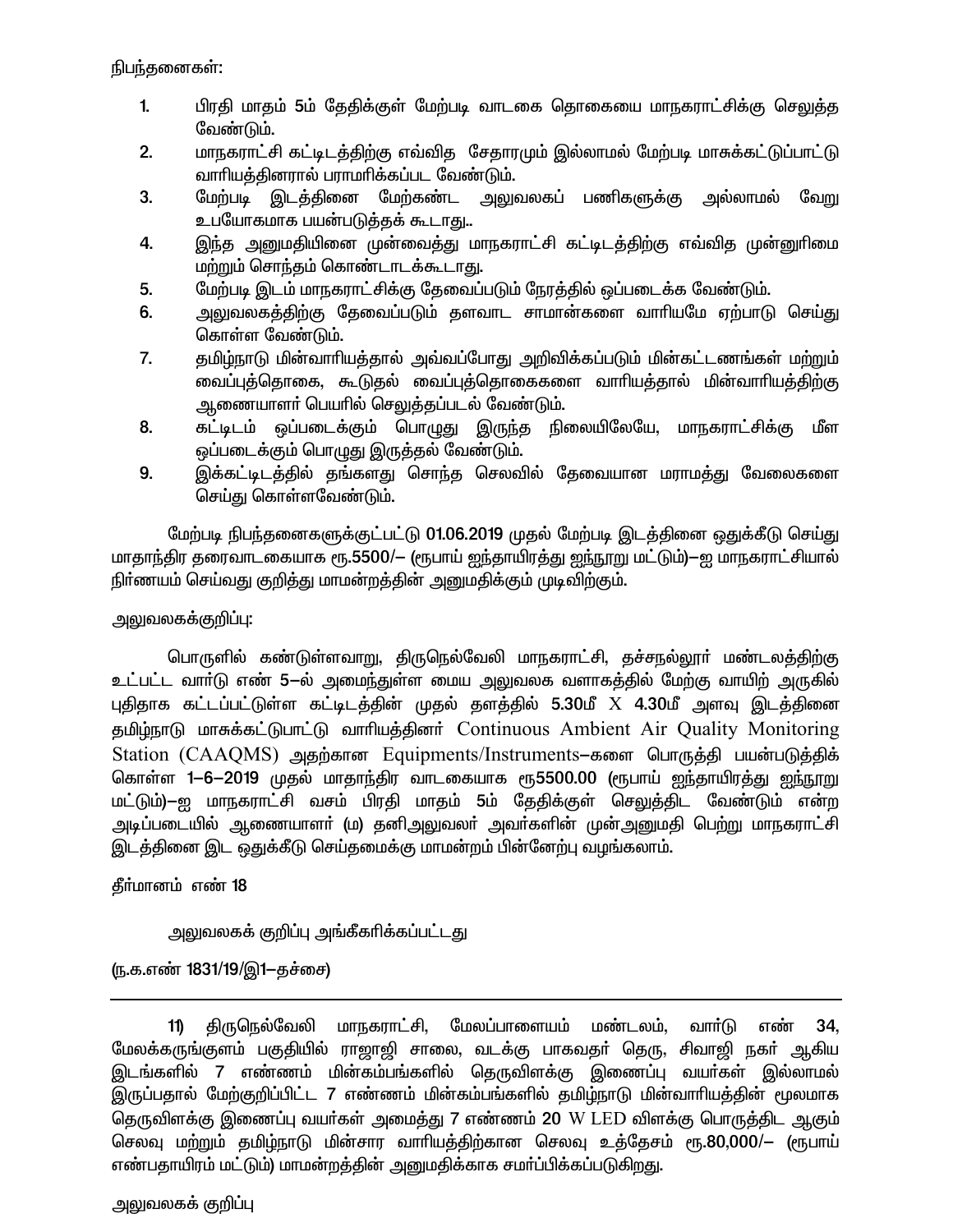நிபந்தனைகள்:

- $1<sub>1</sub>$ பிரதி மாதம் 5ம் தேதிக்குள் மேற்படி வாடகை தொகையை மாநகராட்சிக்கு செலுக்கு வேண்டும்.
- மாநகராட்சி கட்டிடத்திற்கு எவ்வித சேதாரமும் இல்லாமல் மேற்படி மாசுக்கட்டுப்பாட்டு  $2.$ வாரியத்தினரால் பராமரிக்கப்பட வேண்டும்.
- 3. மேற்படி இடத்தினை மேற்கண்ட அலுவலகப் பணிகளுக்கு அல்லாமல் வேறு உபயோகமாக பயன்படுத்தக் கூடாது..
- இந்த அனுமதியினை முன்வைத்து மாநகராட்சி கட்டிடத்திற்கு எவ்வித முன்னுரிமை 4. மற்றும் சொந்தம் கொண்டாடக்கூடாது.
- மேற்படி இடம் மாநகராட்சிக்கு தேவைப்படும் நேரத்தில் ஒப்படைக்க வேண்டும். 5.
- .<br>அலுவலகத்திற்கு தேவைப்படும் தளவாட சாமான்களை வாாியமே ஏற்பாடு செய்து 6. கொள்ள வேண்டும்.
- $7.$ தமிழ்நாடு மின்வாரியத்தால் அவ்வப்போது அறிவிக்கப்படும் மின்கட்டணங்கள் மற்றும் வைப்புத்தொகை, கூடுதல் வைப்புத்தொகைகளை வாரியத்தால் மின்வாரியத்திற்கு ஆணையாளா் பெயாில் செலுத்தப்படல் வேண்டும்.
- கட்டிடம் ஒப்படைக்கும் பொழுது இருந்த நிலையிலேயே, மாநகராட்சிக்கு மீள 8. ஒப்படைக்கும் பொழுது இருத்தல் வேண்டும்.
- 9. இக்கட்டிடத்தில் தங்களது சொந்த செலவில் தேவையான மராமத்து வேலைகளை செய்து கொள்ளவேண்டும்.

மேற்படி நிபந்தனைகளுக்குட்பட்டு 01.06.2019 முதல் மேற்படி இடத்தினை ஒதுக்கீடு செய்து மாதாந்திர தரைவாடகையாக ரூ.5500/— (ரூபாய் ஐந்தாயிரத்து <u>ஐந்ந</u>ூறு மட்டும்)—ஐ மாநகராட்சியால் நிா்ணயம் செய்வது குறித்து மாமன்றத்தின் அனுமதிக்கும் முடிவிற்கும்.

## அலுவலகக்குறிப்பு:

பொருளில் கண்டுள்ளவாறு, திருநெல்வேலி மாநகராட்சி, தச்சநல்லூா் மண்டலத்திற்கு உட்பட்ட வாா்டு எண் 5—ல் அமைந்துள்ள மைய அலுவலக வளாகத்தில் மேற்கு வாயிற் அருகில் புதிதாக கட்டப்பட்டுள்ள கட்டிடத்தின் முதல் தளத்தில் 5.30மீ  $X$  4.30மீ அளவு இடத்தினை குமிம்நாடு மாசுக்கட்டுபாட்டு வாரியத்தினர் Continuous Ambient Air Quality Monitoring Station (CAAOMS) அகற்கான Equipments/Instruments-களை பொருக்கி பயன்படுக்கிக் கொள்ள 1-6–2019 முதல் மாதாந்திர வாடகையாக ரூ5500.00 (ரூபாய் ஐந்தாயிரத்து ஐந்நூறு மட்டும்)—ஐ மாநகராட்சி வசம் பிரதி மாதம் 5ம் தேதிக்குள் செலுத்திட வேண்டும் என்ற அடிப்படையில் ஆணையாளா் (ம) தனிஅலுவலா் அவா்களின் முன்அனுமதி பெற்று மாநகராட்சி இடத்தினை இட ஒதுக்கீடு செய்தமைக்கு மாமன்றம் பின்னேற்பு வழங்கலாம்.

தீர்மானம் எண் 18

அலுவலகக் குறிப்பு அங்கீகரிக்கப்பட்டது

<u>(ந</u>.க.எண் 1831/19/இ1–தச்சை)

திருநெல்வேலி மாநகராட்சி, மேலப்பாளையம் மண்டலம். வார்டு எண் 34. 11) மேலக்கருங்குளம் பகுதியில் ராஜாஜி சாலை, வடக்கு பாகவதா் தெரு, சிவாஜி நகா் ஆகிய இடங்களில் 7 எண்ணம் மின்கம்பங்களில் தெருவிளக்கு இணைப்பு வயாகள் இல்லாமல் இருப்பதால் மேற்குறிப்பிட்ட 7 எண்ணம் மின்கம்பங்களில் தமிழ்நாடு மின்வாரியத்தின் மூலமாக தெருவிளக்கு இணைப்பு வயா்கள் அமைத்து 7 எண்ணம் 20 W LED விளக்கு பொருத்திட ஆகும் செலவு மற்றும் தமிழ்நாடு மின்சார வாரியத்திற்கான செலவு உத்தேசம் ரூ.80,000/— (ரூபாய் எண்பதாயிரம் மட்டும்) மாமன்றத்தின் அனுமதிக்காக சமர்ப்பிக்கப்படுகிறது.

அலுவலகக் குறிப்பு